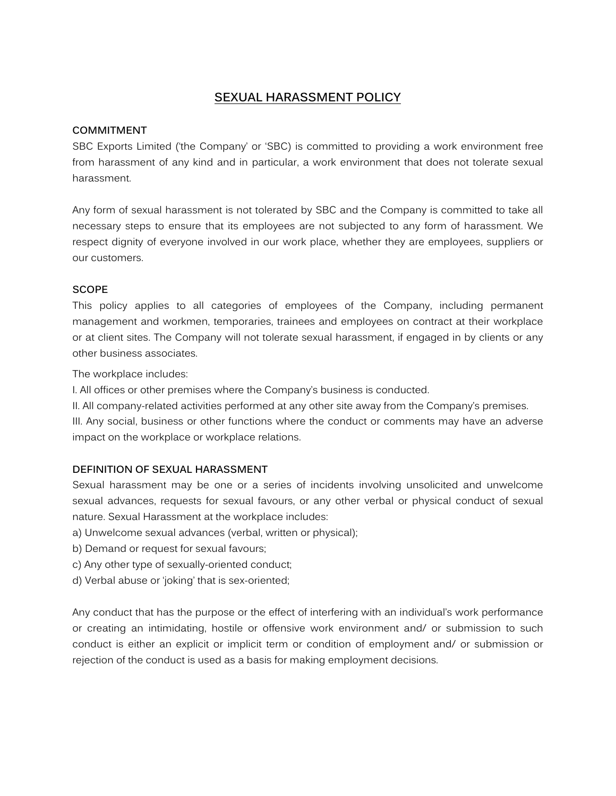# **SEXUAL HARASSMENT POLICY**

## **COMMITMENT**

SBC Exports Limited ('the Company' or 'SBC) is committed to providing a work environment free from harassment of any kind and in particular, a work environment that does not tolerate sexual harassment.

Any form of sexual harassment is not tolerated by SBC and the Company is committed to take all necessary steps to ensure that its employees are not subjected to any form of harassment. We respect dignity of everyone involved in our work place, whether they are employees, suppliers or our customers.

### **SCOPE**

This policy applies to all categories of employees of the Company, including permanent management and workmen, temporaries, trainees and employees on contract at their workplace or at client sites. The Company will not tolerate sexual harassment, if engaged in by clients or any other business associates.

The workplace includes:

I. All offices or other premises where the Company's business is conducted.

II. All company-related activities performed at any other site away from the Company's premises.

III. Any social, business or other functions where the conduct or comments may have an adverse impact on the workplace or workplace relations.

## **DEFINITION OF SEXUAL HARASSMENT**

Sexual harassment may be one or a series of incidents involving unsolicited and unwelcome sexual advances, requests for sexual favours, or any other verbal or physical conduct of sexual nature. Sexual Harassment at the workplace includes:

- a) Unwelcome sexual advances (verbal, written or physical);
- b) Demand or request for sexual favours;
- c) Any other type of sexually-oriented conduct;
- d) Verbal abuse or 'joking' that is sex-oriented;

Any conduct that has the purpose or the effect of interfering with an individual's work performance or creating an intimidating, hostile or offensive work environment and/ or submission to such conduct is either an explicit or implicit term or condition of employment and/ or submission or rejection of the conduct is used as a basis for making employment decisions.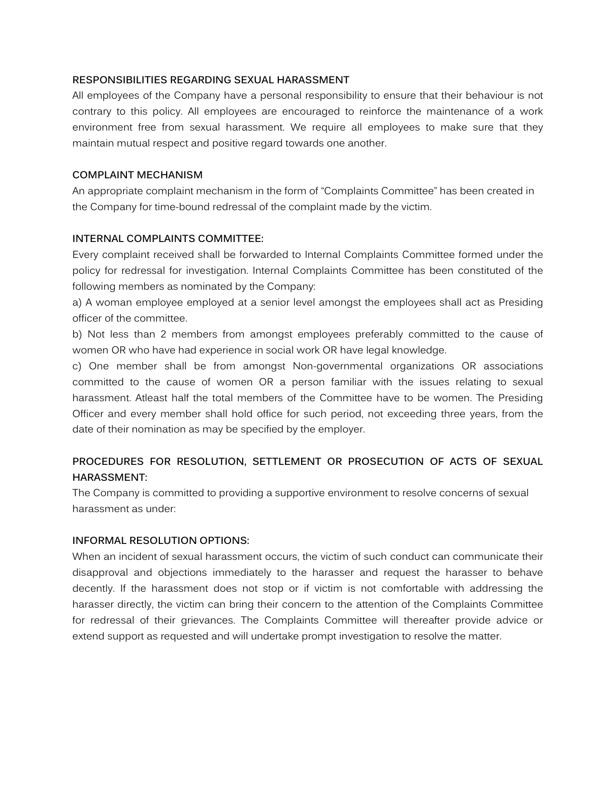### **RESPONSIBILITIES REGARDING SEXUAL HARASSMENT**

All employees of the Company have a personal responsibility to ensure that their behaviour is not contrary to this policy. All employees are encouraged to reinforce the maintenance of a work environment free from sexual harassment. We require all employees to make sure that they maintain mutual respect and positive regard towards one another.

### **COMPLAINT MECHANISM**

An appropriate complaint mechanism in the form of "Complaints Committee" has been created in the Company for time-bound redressal of the complaint made by the victim.

## **INTERNAL COMPLAINTS COMMITTEE:**

Every complaint received shall be forwarded to Internal Complaints Committee formed under the policy for redressal for investigation. Internal Complaints Committee has been constituted of the following members as nominated by the Company:

a) A woman employee employed at a senior level amongst the employees shall act as Presiding officer of the committee.

b) Not less than 2 members from amongst employees preferably committed to the cause of women OR who have had experience in social work OR have legal knowledge.

c) One member shall be from amongst Non-governmental organizations OR associations committed to the cause of women OR a person familiar with the issues relating to sexual harassment. Atleast half the total members of the Committee have to be women. The Presiding Officer and every member shall hold office for such period, not exceeding three years, from the date of their nomination as may be specified by the employer.

## **PROCEDURES FOR RESOLUTION, SETTLEMENT OR PROSECUTION OF ACTS OF SEXUAL HARASSMENT:**

The Company is committed to providing a supportive environment to resolve concerns of sexual harassment as under:

#### **INFORMAL RESOLUTION OPTIONS:**

When an incident of sexual harassment occurs, the victim of such conduct can communicate their disapproval and objections immediately to the harasser and request the harasser to behave decently. If the harassment does not stop or if victim is not comfortable with addressing the harasser directly, the victim can bring their concern to the attention of the Complaints Committee for redressal of their grievances. The Complaints Committee will thereafter provide advice or extend support as requested and will undertake prompt investigation to resolve the matter.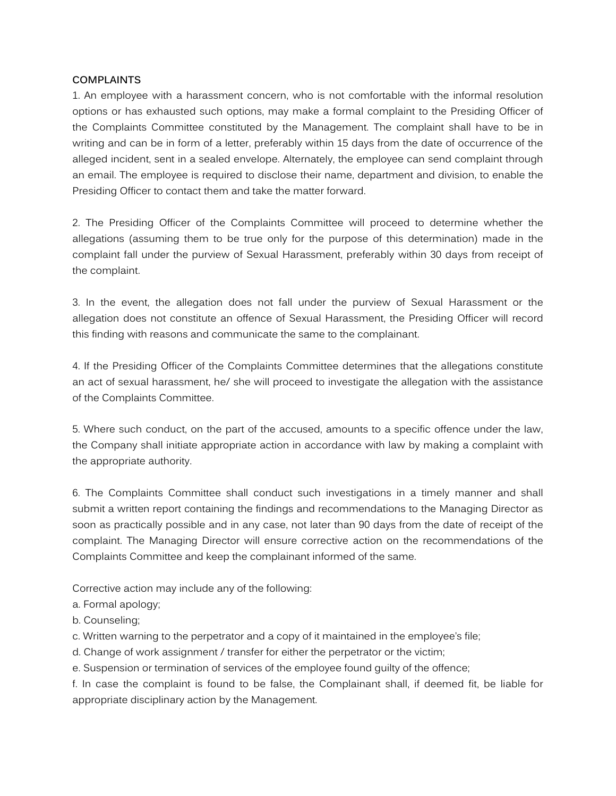### **COMPLAINTS**

1. An employee with a harassment concern, who is not comfortable with the informal resolution options or has exhausted such options, may make a formal complaint to the Presiding Officer of the Complaints Committee constituted by the Management. The complaint shall have to be in writing and can be in form of a letter, preferably within 15 days from the date of occurrence of the alleged incident, sent in a sealed envelope. Alternately, the employee can send complaint through an email. The employee is required to disclose their name, department and division, to enable the Presiding Officer to contact them and take the matter forward.

2. The Presiding Officer of the Complaints Committee will proceed to determine whether the allegations (assuming them to be true only for the purpose of this determination) made in the complaint fall under the purview of Sexual Harassment, preferably within 30 days from receipt of the complaint.

3. In the event, the allegation does not fall under the purview of Sexual Harassment or the allegation does not constitute an offence of Sexual Harassment, the Presiding Officer will record this finding with reasons and communicate the same to the complainant.

4. If the Presiding Officer of the Complaints Committee determines that the allegations constitute an act of sexual harassment, he/ she will proceed to investigate the allegation with the assistance of the Complaints Committee.

5. Where such conduct, on the part of the accused, amounts to a specific offence under the law, the Company shall initiate appropriate action in accordance with law by making a complaint with the appropriate authority.

6. The Complaints Committee shall conduct such investigations in a timely manner and shall submit a written report containing the findings and recommendations to the Managing Director as soon as practically possible and in any case, not later than 90 days from the date of receipt of the complaint. The Managing Director will ensure corrective action on the recommendations of the Complaints Committee and keep the complainant informed of the same.

Corrective action may include any of the following:

- a. Formal apology;
- b. Counseling;
- c. Written warning to the perpetrator and a copy of it maintained in the employee's file;
- d. Change of work assignment / transfer for either the perpetrator or the victim;
- e. Suspension or termination of services of the employee found guilty of the offence;

f. In case the complaint is found to be false, the Complainant shall, if deemed fit, be liable for appropriate disciplinary action by the Management.